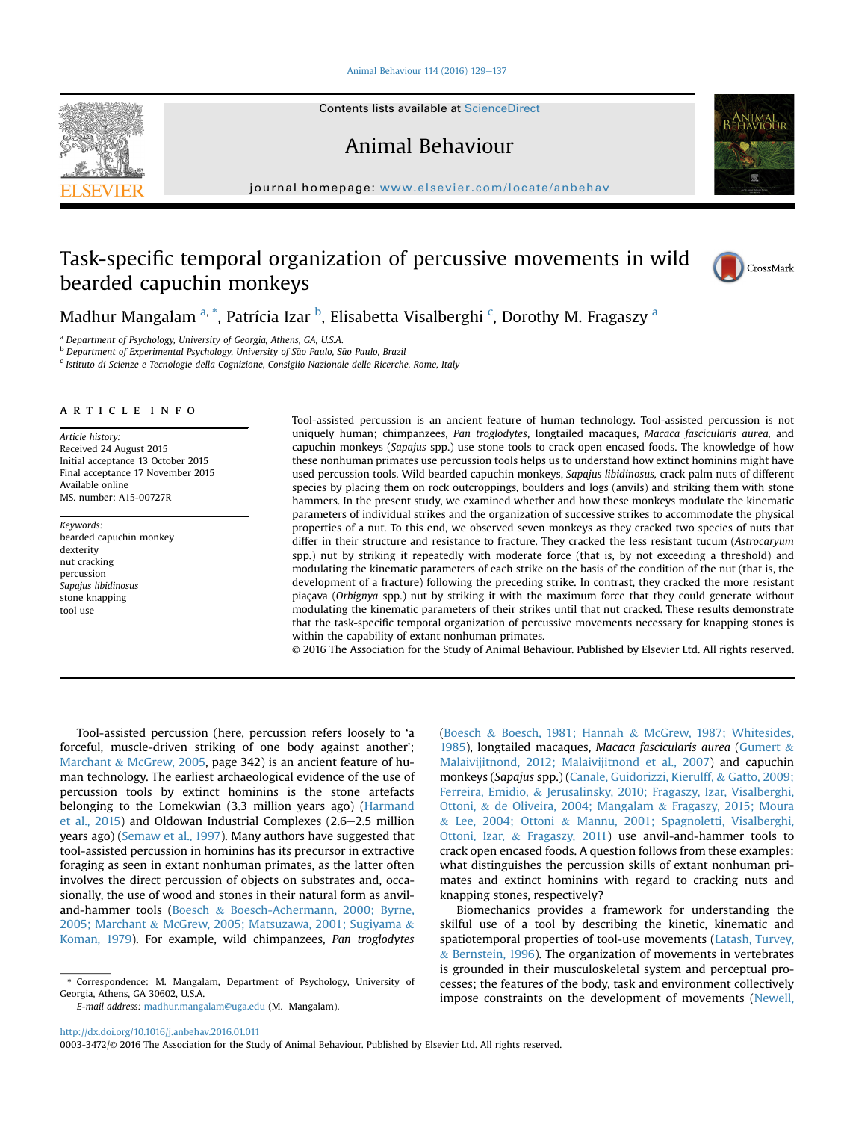## [Animal Behaviour 114 \(2016\) 129](http://dx.doi.org/10.1016/j.anbehav.2016.01.011)-[137](http://dx.doi.org/10.1016/j.anbehav.2016.01.011)

Contents lists available at ScienceDirect

Animal Behaviour

journal homepage: [www.elsevier.com/locate/anbehav](http://www.elsevier.com/locate/anbehav)

# Task-specific temporal organization of percussive movements in wild bearded capuchin monkeys



Madhur Mangalam <sup>a, \*</sup>, Patrícia Izar <sup>b</sup>, Elisabetta Visalberghi <sup>c</sup>, Dorothy M. Fragaszy <sup>a</sup>

<sup>a</sup> Department of Psychology, University of Georgia, Athens, GA, U.S.A.

<sup>b</sup> Department of Experimental Psychology, University of São Paulo, São Paulo, Brazil

<sup>c</sup> Istituto di Scienze e Tecnologie della Cognizione, Consiglio Nazionale delle Ricerche, Rome, Italy

# article info

Article history: Received 24 August 2015 Initial acceptance 13 October 2015 Final acceptance 17 November 2015 Available online MS. number: A15-00727R

Keywords: bearded capuchin monkey dexterity nut cracking percussion Sapajus libidinosus stone knapping tool use

Tool-assisted percussion is an ancient feature of human technology. Tool-assisted percussion is not uniquely human; chimpanzees, Pan troglodytes, longtailed macaques, Macaca fascicularis aurea, and capuchin monkeys (Sapajus spp.) use stone tools to crack open encased foods. The knowledge of how these nonhuman primates use percussion tools helps us to understand how extinct hominins might have used percussion tools. Wild bearded capuchin monkeys, Sapajus libidinosus, crack palm nuts of different species by placing them on rock outcroppings, boulders and logs (anvils) and striking them with stone hammers. In the present study, we examined whether and how these monkeys modulate the kinematic parameters of individual strikes and the organization of successive strikes to accommodate the physical properties of a nut. To this end, we observed seven monkeys as they cracked two species of nuts that differ in their structure and resistance to fracture. They cracked the less resistant tucum (Astrocaryum spp.) nut by striking it repeatedly with moderate force (that is, by not exceeding a threshold) and modulating the kinematic parameters of each strike on the basis of the condition of the nut (that is, the development of a fracture) following the preceding strike. In contrast, they cracked the more resistant piaçava (Orbignya spp.) nut by striking it with the maximum force that they could generate without modulating the kinematic parameters of their strikes until that nut cracked. These results demonstrate that the task-specific temporal organization of percussive movements necessary for knapping stones is within the capability of extant nonhuman primates.

© 2016 The Association for the Study of Animal Behaviour. Published by Elsevier Ltd. All rights reserved.

Tool-assisted percussion (here, percussion refers loosely to 'a forceful, muscle-driven striking of one body against another'; [Marchant](#page-7-0) & [McGrew, 2005,](#page-7-0) page 342) is an ancient feature of human technology. The earliest archaeological evidence of the use of percussion tools by extinct hominins is the stone artefacts belonging to the Lomekwian (3.3 million years ago) [\(Harmand](#page-7-0) et al.,  $2015$ ) and Oldowan Industrial Complexes  $(2.6-2.5 \text{ million})$ years ago) [\(Semaw et al., 1997](#page-8-0)). Many authors have suggested that tool-assisted percussion in hominins has its precursor in extractive foraging as seen in extant nonhuman primates, as the latter often involves the direct percussion of objects on substrates and, occasionally, the use of wood and stones in their natural form as anviland-hammer tools ([Boesch](#page-7-0) & [Boesch-Achermann, 2000; Byrne,](#page-7-0) [2005; Marchant](#page-7-0) & [McGrew, 2005; Matsuzawa, 2001; Sugiyama](#page-7-0) & [Koman, 1979](#page-7-0)). For example, wild chimpanzees, Pan troglodytes

([Boesch](#page-7-0) & [Boesch, 1981; Hannah](#page-7-0) & [McGrew, 1987; Whitesides,](#page-7-0) [1985\)](#page-7-0), longtailed macaques, Macaca fascicularis aurea ([Gumert](#page-7-0) & [Malaivijitnond, 2012; Malaivijitnond et al., 2007\)](#page-7-0) and capuchin monkeys (Sapajus spp.) ([Canale, Guidorizzi, Kierulff,](#page-7-0) & [Gatto, 2009;](#page-7-0) [Ferreira, Emidio,](#page-7-0) & [Jerusalinsky, 2010; Fragaszy, Izar, Visalberghi,](#page-7-0) [Ottoni,](#page-7-0) & [de Oliveira, 2004; Mangalam](#page-7-0) & [Fragaszy, 2015; Moura](#page-7-0) & [Lee, 2004; Ottoni](#page-7-0) & [Mannu, 2001; Spagnoletti, Visalberghi,](#page-7-0) [Ottoni, Izar,](#page-7-0) & [Fragaszy, 2011](#page-7-0)) use anvil-and-hammer tools to crack open encased foods. A question follows from these examples: what distinguishes the percussion skills of extant nonhuman primates and extinct hominins with regard to cracking nuts and knapping stones, respectively?

Biomechanics provides a framework for understanding the skilful use of a tool by describing the kinetic, kinematic and spatiotemporal properties of tool-use movements [\(Latash, Turvey,](#page-7-0) & [Bernstein, 1996\)](#page-7-0). The organization of movements in vertebrates is grounded in their musculoskeletal system and perceptual processes; the features of the body, task and environment collectively impose constraints on the development of movements [\(Newell,](#page-7-0)

<http://dx.doi.org/10.1016/j.anbehav.2016.01.011>

<sup>\*</sup> Correspondence: M. Mangalam, Department of Psychology, University of Georgia, Athens, GA 30602, U.S.A.

E-mail address: [madhur.mangalam@uga.edu](mailto:madhur.mangalam@uga.edu) (M. Mangalam).

<sup>0003-3472/</sup>© 2016 The Association for the Study of Animal Behaviour. Published by Elsevier Ltd. All rights reserved.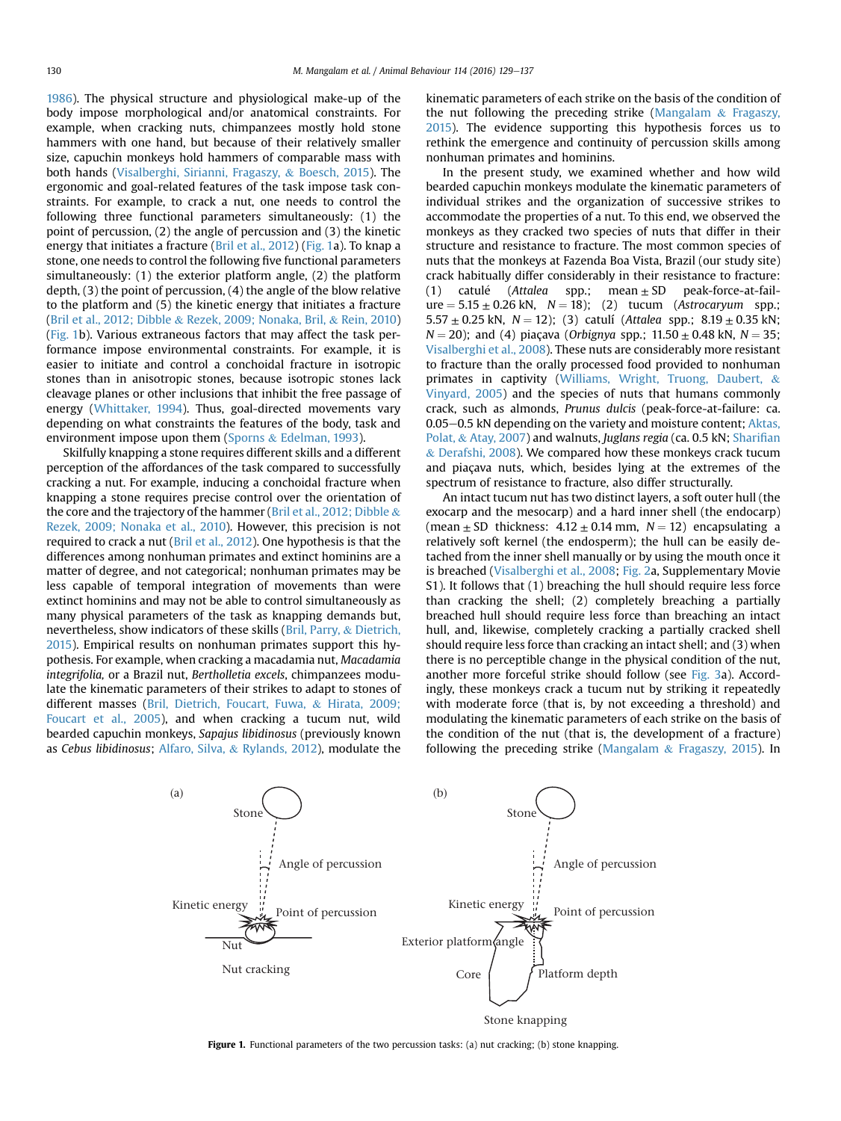[1986](#page-7-0)). The physical structure and physiological make-up of the body impose morphological and/or anatomical constraints. For example, when cracking nuts, chimpanzees mostly hold stone hammers with one hand, but because of their relatively smaller size, capuchin monkeys hold hammers of comparable mass with both hands ([Visalberghi, Sirianni, Fragaszy,](#page-8-0) & [Boesch, 2015\)](#page-8-0). The ergonomic and goal-related features of the task impose task constraints. For example, to crack a nut, one needs to control the following three functional parameters simultaneously: (1) the point of percussion, (2) the angle of percussion and (3) the kinetic energy that initiates a fracture ([Bril et al., 2012\)](#page-7-0) (Fig. 1a). To knap a stone, one needs to control the following five functional parameters simultaneously: (1) the exterior platform angle, (2) the platform depth, (3) the point of percussion, (4) the angle of the blow relative to the platform and (5) the kinetic energy that initiates a fracture ([Bril et al., 2012; Dibble](#page-7-0) & [Rezek, 2009; Nonaka, Bril,](#page-7-0) & [Rein, 2010\)](#page-7-0) (Fig. 1b). Various extraneous factors that may affect the task performance impose environmental constraints. For example, it is easier to initiate and control a conchoidal fracture in isotropic stones than in anisotropic stones, because isotropic stones lack cleavage planes or other inclusions that inhibit the free passage of energy ([Whittaker, 1994](#page-8-0)). Thus, goal-directed movements vary depending on what constraints the features of the body, task and environment impose upon them ([Sporns](#page-8-0) & [Edelman, 1993](#page-8-0)).

Skilfully knapping a stone requires different skills and a different perception of the affordances of the task compared to successfully cracking a nut. For example, inducing a conchoidal fracture when knapping a stone requires precise control over the orientation of the core and the trajectory of the hammer [\(Bril et al., 2012; Dibble](#page-7-0)  $\&$ [Rezek, 2009; Nonaka et al., 2010\)](#page-7-0). However, this precision is not required to crack a nut [\(Bril et al., 2012\)](#page-7-0). One hypothesis is that the differences among nonhuman primates and extinct hominins are a matter of degree, and not categorical; nonhuman primates may be less capable of temporal integration of movements than were extinct hominins and may not be able to control simultaneously as many physical parameters of the task as knapping demands but, nevertheless, show indicators of these skills [\(Bril, Parry,](#page-7-0) & [Dietrich,](#page-7-0) [2015](#page-7-0)). Empirical results on nonhuman primates support this hypothesis. For example, when cracking a macadamia nut, Macadamia integrifolia, or a Brazil nut, Bertholletia excels, chimpanzees modulate the kinematic parameters of their strikes to adapt to stones of different masses [\(Bril, Dietrich, Foucart, Fuwa,](#page-7-0) & [Hirata, 2009;](#page-7-0) [Foucart et al., 2005\)](#page-7-0), and when cracking a tucum nut, wild bearded capuchin monkeys, Sapajus libidinosus (previously known as Cebus libidinosus; [Alfaro, Silva,](#page-7-0) & [Rylands, 2012\)](#page-7-0), modulate the

kinematic parameters of each strike on the basis of the condition of the nut following the preceding strike ([Mangalam](#page-7-0)  $&$  [Fragaszy,](#page-7-0) [2015\)](#page-7-0). The evidence supporting this hypothesis forces us to rethink the emergence and continuity of percussion skills among nonhuman primates and hominins.

In the present study, we examined whether and how wild bearded capuchin monkeys modulate the kinematic parameters of individual strikes and the organization of successive strikes to accommodate the properties of a nut. To this end, we observed the monkeys as they cracked two species of nuts that differ in their structure and resistance to fracture. The most common species of nuts that the monkeys at Fazenda Boa Vista, Brazil (our study site) crack habitually differ considerably in their resistance to fracture: (1) catulé (Attalea spp.; mean ± SD peak-force-at-failure =  $5.15 \pm 0.26$  kN,  $N = 18$ ); (2) tucum (Astrocaryum spp.; 5.57  $\pm$  0.25 kN, N = 12); (3) catuli (Attalea spp.; 8.19  $\pm$  0.35 kN;  $N = 20$ ); and (4) piaçava (Orbignya spp.; 11.50  $\pm$  0.48 kN,  $N = 35$ ; [Visalberghi et al., 2008\)](#page-8-0). These nuts are considerably more resistant to fracture than the orally processed food provided to nonhuman primates in captivity ([Williams, Wright, Truong, Daubert,](#page-8-0) & [Vinyard, 2005](#page-8-0)) and the species of nuts that humans commonly crack, such as almonds, Prunus dulcis (peak-force-at-failure: ca. 0.05–0.5 kN depending on the variety and moisture content; [Aktas,](#page-7-0) [Polat,](#page-7-0) & [Atay, 2007\)](#page-7-0) and walnuts, Juglans regia (ca. 0.5 kN; [Shari](#page-8-0)fian & [Derafshi, 2008\)](#page-8-0). We compared how these monkeys crack tucum and piaçava nuts, which, besides lying at the extremes of the spectrum of resistance to fracture, also differ structurally.

An intact tucum nut has two distinct layers, a soft outer hull (the exocarp and the mesocarp) and a hard inner shell (the endocarp) (mean  $\pm$  SD thickness: 4.12  $\pm$  0.14 mm, N = 12) encapsulating a relatively soft kernel (the endosperm); the hull can be easily detached from the inner shell manually or by using the mouth once it is breached ([Visalberghi et al., 2008](#page-8-0); [Fig. 2](#page-2-0)a, Supplementary Movie S1). It follows that (1) breaching the hull should require less force than cracking the shell; (2) completely breaching a partially breached hull should require less force than breaching an intact hull, and, likewise, completely cracking a partially cracked shell should require less force than cracking an intact shell; and (3) when there is no perceptible change in the physical condition of the nut, another more forceful strike should follow (see [Fig. 3a](#page-2-0)). Accordingly, these monkeys crack a tucum nut by striking it repeatedly with moderate force (that is, by not exceeding a threshold) and modulating the kinematic parameters of each strike on the basis of the condition of the nut (that is, the development of a fracture) following the preceding strike ([Mangalam](#page-7-0)  $&$  [Fragaszy, 2015\)](#page-7-0). In



Stone knapping

Figure 1. Functional parameters of the two percussion tasks: (a) nut cracking; (b) stone knapping.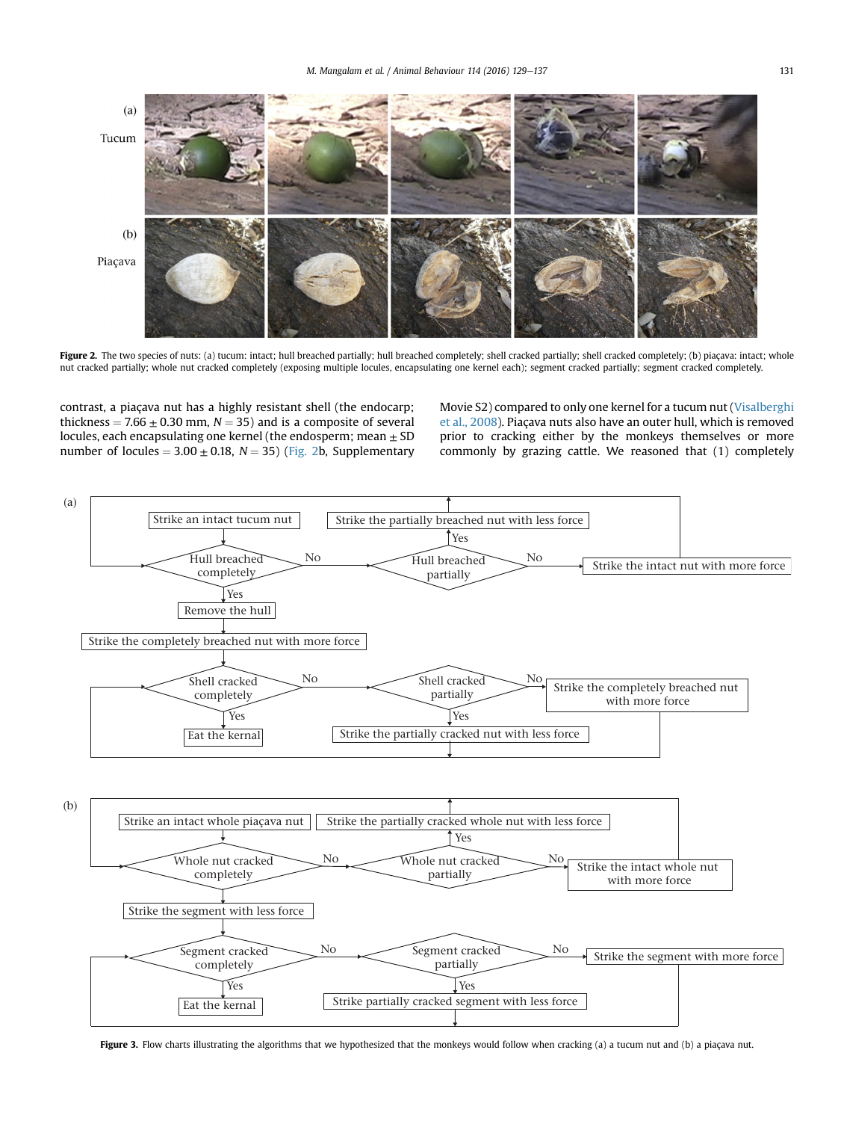<span id="page-2-0"></span>

Figure 2. The two species of nuts: (a) tucum: intact; hull breached partially; hull breached completely; shell cracked partially; shell cracked completely; (b) piacava: intact; whole nut cracked partially; whole nut cracked completely (exposing multiple locules, encapsulating one kernel each); segment cracked partially; segment cracked completely.

contrast, a piaçava nut has a highly resistant shell (the endocarp; thickness =  $7.66 \pm 0.30$  mm,  $N = 35$ ) and is a composite of several locules, each encapsulating one kernel (the endosperm; mean  $\pm$  SD number of locules =  $3.00 \pm 0.18$ , N = 35) (Fig. 2b, Supplementary Movie S2) compared to only one kernel for a tucum nut [\(Visalberghi](#page-8-0) [et al., 2008](#page-8-0)). Piaçava nuts also have an outer hull, which is removed prior to cracking either by the monkeys themselves or more commonly by grazing cattle. We reasoned that (1) completely



Figure 3. Flow charts illustrating the algorithms that we hypothesized that the monkeys would follow when cracking (a) a tucum nut and (b) a piaçava nut.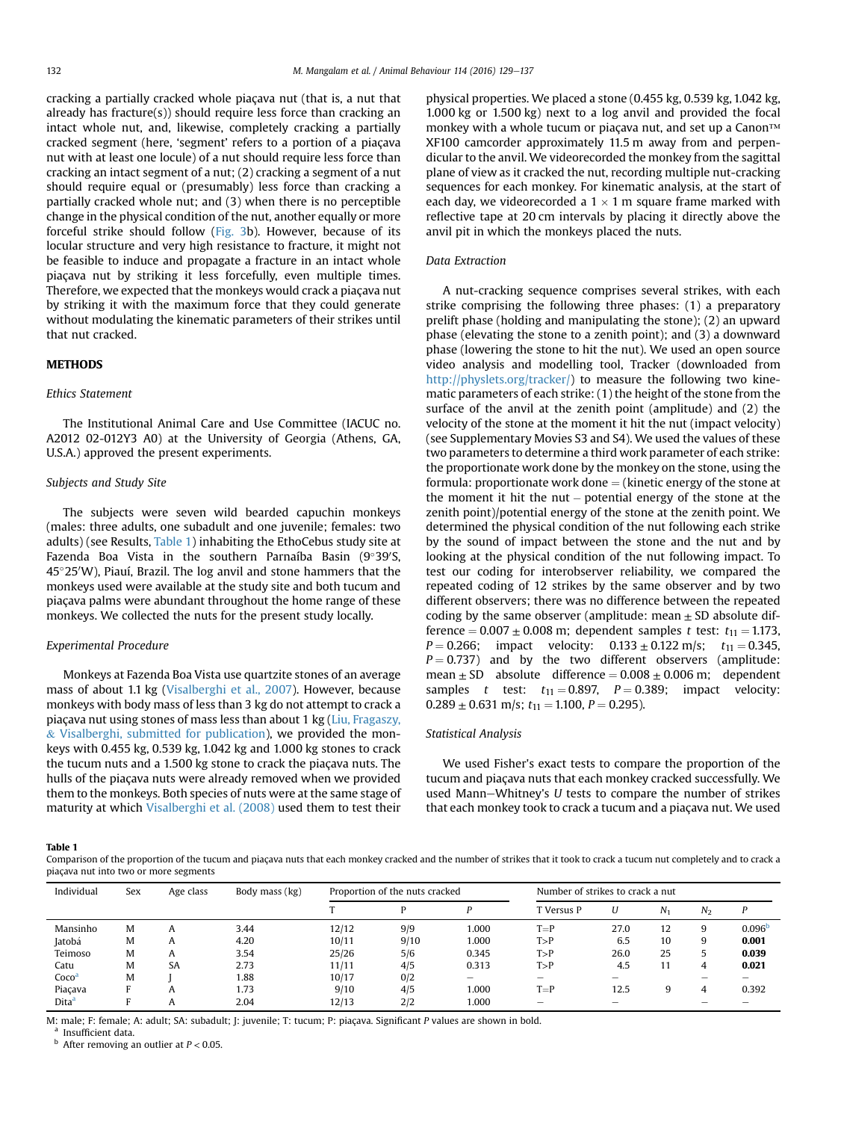<span id="page-3-0"></span>cracking a partially cracked whole piaçava nut (that is, a nut that already has fracture(s)) should require less force than cracking an intact whole nut, and, likewise, completely cracking a partially cracked segment (here, 'segment' refers to a portion of a piaçava nut with at least one locule) of a nut should require less force than cracking an intact segment of a nut; (2) cracking a segment of a nut should require equal or (presumably) less force than cracking a partially cracked whole nut; and (3) when there is no perceptible change in the physical condition of the nut, another equally or more forceful strike should follow ([Fig. 3b](#page-2-0)). However, because of its locular structure and very high resistance to fracture, it might not be feasible to induce and propagate a fracture in an intact whole piaçava nut by striking it less forcefully, even multiple times. Therefore, we expected that the monkeys would crack a piaçava nut by striking it with the maximum force that they could generate without modulating the kinematic parameters of their strikes until that nut cracked.

# METHODS

## Ethics Statement

The Institutional Animal Care and Use Committee (IACUC no. A2012 02-012Y3 A0) at the University of Georgia (Athens, GA, U.S.A.) approved the present experiments.

# Subjects and Study Site

The subjects were seven wild bearded capuchin monkeys (males: three adults, one subadult and one juvenile; females: two adults) (see Results, Table 1) inhabiting the EthoCebus study site at Fazenda Boa Vista in the southern Parnaíba Basin (9°39′S, 45°25′W), Piauí, Brazil. The log anvil and stone hammers that the monkeys used were available at the study site and both tucum and piaçava palms were abundant throughout the home range of these monkeys. We collected the nuts for the present study locally.

# Experimental Procedure

Monkeys at Fazenda Boa Vista use quartzite stones of an average mass of about 1.1 kg ([Visalberghi et al., 2007\)](#page-8-0). However, because monkeys with body mass of less than 3 kg do not attempt to crack a piaçava nut using stones of mass less than about 1 kg ([Liu, Fragaszy,](#page-7-0)  $&$  [Visalberghi, submitted for publication](#page-7-0)), we provided the monkeys with 0.455 kg, 0.539 kg, 1.042 kg and 1.000 kg stones to crack the tucum nuts and a 1.500 kg stone to crack the piaçava nuts. The hulls of the piaçava nuts were already removed when we provided them to the monkeys. Both species of nuts were at the same stage of maturity at which [Visalberghi et al. \(2008\)](#page-8-0) used them to test their physical properties. We placed a stone (0.455 kg, 0.539 kg, 1.042 kg, 1.000 kg or 1.500 kg) next to a log anvil and provided the focal monkey with a whole tucum or piaçava nut, and set up a Canon™ XF100 camcorder approximately 11.5 m away from and perpendicular to the anvil. We videorecorded the monkey from the sagittal plane of view as it cracked the nut, recording multiple nut-cracking sequences for each monkey. For kinematic analysis, at the start of each day, we videorecorded a  $1 \times 1$  m square frame marked with reflective tape at 20 cm intervals by placing it directly above the anvil pit in which the monkeys placed the nuts.

# Data Extraction

A nut-cracking sequence comprises several strikes, with each strike comprising the following three phases: (1) a preparatory prelift phase (holding and manipulating the stone); (2) an upward phase (elevating the stone to a zenith point); and (3) a downward phase (lowering the stone to hit the nut). We used an open source video analysis and modelling tool, Tracker (downloaded from [http://physlets.org/tracker/\)](http://physlets.org/tracker/) to measure the following two kinematic parameters of each strike: (1) the height of the stone from the surface of the anvil at the zenith point (amplitude) and (2) the velocity of the stone at the moment it hit the nut (impact velocity) (see Supplementary Movies S3 and S4). We used the values of these two parameters to determine a third work parameter of each strike: the proportionate work done by the monkey on the stone, using the formula: proportionate work done  $=$  (kinetic energy of the stone at the moment it hit the nut  $-$  potential energy of the stone at the zenith point)/potential energy of the stone at the zenith point. We determined the physical condition of the nut following each strike by the sound of impact between the stone and the nut and by looking at the physical condition of the nut following impact. To test our coding for interobserver reliability, we compared the repeated coding of 12 strikes by the same observer and by two different observers; there was no difference between the repeated coding by the same observer (amplitude: mean  $\pm$  SD absolute difference =  $0.007 \pm 0.008$  m; dependent samples t test:  $t_{11} = 1.173$ ,  $P = 0.266$ ; impact velocity:  $0.133 \pm 0.122$  m/s;  $t_{11} = 0.345$ ,  $P = 0.737$ ) and by the two different observers (amplitude: mean  $\pm$  SD absolute difference = 0.008  $\pm$  0.006 m; dependent samples t test:  $t_{11} = 0.897$ ,  $P = 0.389$ ; impact velocity:  $0.289 \pm 0.631$  m/s;  $t_{11} = 1.100$ ,  $P = 0.295$ ).

#### Statistical Analysis

We used Fisher's exact tests to compare the proportion of the tucum and piaçava nuts that each monkey cracked successfully. We used Mann-Whitney's  $U$  tests to compare the number of strikes that each monkey took to crack a tucum and a piaçava nut. We used

Table 1

Comparison of the proportion of the tucum and piaçava nuts that each monkey cracked and the number of strikes that it took to crack a tucum nut completely and to crack a piaçava nut into two or more segments

| Individual        | Sex | Age class | Body mass (kg) |       | Proportion of the nuts cracked |       | Number of strikes to crack a nut |      |         |                |                    |  |
|-------------------|-----|-----------|----------------|-------|--------------------------------|-------|----------------------------------|------|---------|----------------|--------------------|--|
|                   |     |           |                |       | D                              | D     | T Versus P                       | U    | $N_{1}$ | N <sub>2</sub> |                    |  |
| Mansinho          | M   |           | 3.44           | 12/12 | 9/9                            | 1.000 | $T = P$                          | 27.0 | 12      |                | 0.096 <sup>b</sup> |  |
| Jatobá            | M   | A         | 4.20           | 10/11 | 9/10                           | 1.000 | T > P                            | 6.5  | 10      |                | 0.001              |  |
| Teimoso           | M   | A         | 3.54           | 25/26 | 5/6                            | 0.345 | T > P                            | 26.0 | 25      |                | 0.039              |  |
| Catu              | M   | <b>SA</b> | 2.73           | 11/11 | 4/5                            | 0.313 | T > P                            | 4.5  |         | 4              | 0.021              |  |
| Coco <sup>a</sup> | M   |           | 1.88           | 10/17 | 0/2                            | -     | $\overline{\phantom{a}}$         | -    |         |                | -                  |  |
| Piacava           |     |           | 1.73           | 9/10  | 4/5                            | 1.000 | $T = P$                          | 12.5 | 9       |                | 0.392              |  |
| Dita <sup>a</sup> |     |           | 2.04           | 12/13 | 2/2                            | 1.000 | $\overline{\phantom{a}}$         | -    |         |                |                    |  |

M: male; F: female; A: adult; SA: subadult; J: juvenile; T: tucum; P: piaçava. Significant P values are shown in bold.

Insufficient data.

 $<sup>b</sup>$  After removing an outlier at  $P < 0.05$ .</sup>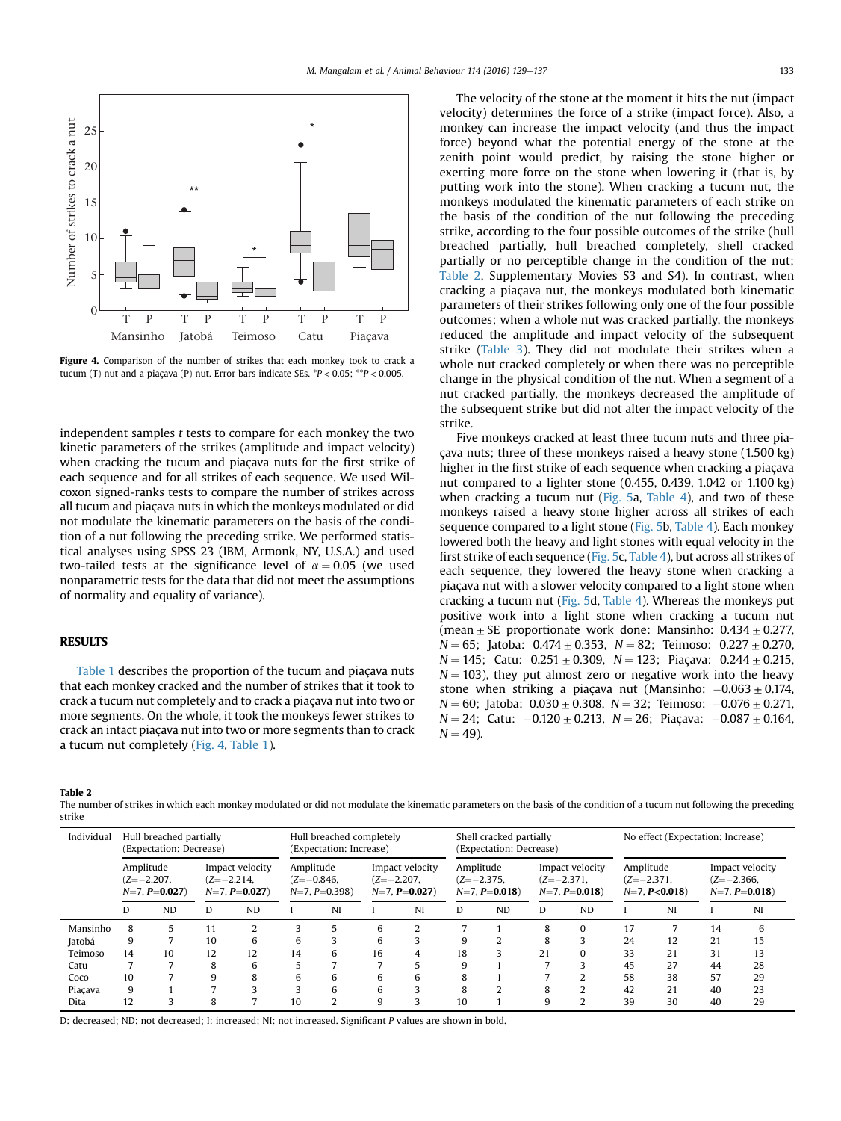

Figure 4. Comparison of the number of strikes that each monkey took to crack a tucum (T) nut and a piaçava (P) nut. Error bars indicate SEs.  $*P < 0.05$ ;  $*P < 0.005$ .

independent samples t tests to compare for each monkey the two kinetic parameters of the strikes (amplitude and impact velocity) when cracking the tucum and piaçava nuts for the first strike of each sequence and for all strikes of each sequence. We used Wilcoxon signed-ranks tests to compare the number of strikes across all tucum and piaçava nuts in which the monkeys modulated or did not modulate the kinematic parameters on the basis of the condition of a nut following the preceding strike. We performed statistical analyses using SPSS 23 (IBM, Armonk, NY, U.S.A.) and used two-tailed tests at the significance level of  $\alpha = 0.05$  (we used nonparametric tests for the data that did not meet the assumptions of normality and equality of variance).

# **RESULTS**

[Table 1](#page-3-0) describes the proportion of the tucum and piaçava nuts that each monkey cracked and the number of strikes that it took to crack a tucum nut completely and to crack a piaçava nut into two or more segments. On the whole, it took the monkeys fewer strikes to crack an intact piaçava nut into two or more segments than to crack a tucum nut completely (Fig. 4, [Table 1](#page-3-0)).

The velocity of the stone at the moment it hits the nut (impact velocity) determines the force of a strike (impact force). Also, a monkey can increase the impact velocity (and thus the impact force) beyond what the potential energy of the stone at the zenith point would predict, by raising the stone higher or exerting more force on the stone when lowering it (that is, by putting work into the stone). When cracking a tucum nut, the monkeys modulated the kinematic parameters of each strike on the basis of the condition of the nut following the preceding strike, according to the four possible outcomes of the strike (hull breached partially, hull breached completely, shell cracked partially or no perceptible change in the condition of the nut; Table 2, Supplementary Movies S3 and S4). In contrast, when cracking a piaçava nut, the monkeys modulated both kinematic parameters of their strikes following only one of the four possible outcomes; when a whole nut was cracked partially, the monkeys reduced the amplitude and impact velocity of the subsequent strike ([Table 3\)](#page-5-0). They did not modulate their strikes when a whole nut cracked completely or when there was no perceptible change in the physical condition of the nut. When a segment of a nut cracked partially, the monkeys decreased the amplitude of the subsequent strike but did not alter the impact velocity of the strike.

Five monkeys cracked at least three tucum nuts and three piaçava nuts; three of these monkeys raised a heavy stone (1.500 kg) higher in the first strike of each sequence when cracking a piaçava nut compared to a lighter stone (0.455, 0.439, 1.042 or 1.100 kg) when cracking a tucum nut [\(Fig. 5a](#page-5-0), [Table 4\)](#page-6-0), and two of these monkeys raised a heavy stone higher across all strikes of each sequence compared to a light stone ([Fig. 5b](#page-5-0), [Table 4](#page-6-0)). Each monkey lowered both the heavy and light stones with equal velocity in the first strike of each sequence [\(Fig. 5](#page-5-0)c, [Table 4](#page-6-0)), but across all strikes of each sequence, they lowered the heavy stone when cracking a piaçava nut with a slower velocity compared to a light stone when cracking a tucum nut ([Fig. 5](#page-5-0)d, [Table 4\)](#page-6-0). Whereas the monkeys put positive work into a light stone when cracking a tucum nut (mean  $\pm$  SE proportionate work done: Mansinho: 0.434  $\pm$  0.277,  $N = 65$ ; Jatoba: 0.474  $\pm$  0.353,  $N = 82$ ; Teimoso: 0.227  $\pm$  0.270,  $N = 145$ ; Catu:  $0.251 \pm 0.309$ ,  $N = 123$ ; Piaçava:  $0.244 \pm 0.215$ ,  $N = 103$ ), they put almost zero or negative work into the heavy stone when striking a piaçava nut (Mansinho:  $-0.063 \pm 0.174$ ,  $N = 60$ ; Jatoba:  $0.030 \pm 0.308$ ,  $N = 32$ ; Teimoso:  $-0.076 \pm 0.271$ ,  $N = 24$ ; Catu:  $-0.120 \pm 0.213$ ,  $N = 26$ ; Piaçava:  $-0.087 \pm 0.164$ ,  $N = 49$ ).

## Table 2

The number of strikes in which each monkey modulated or did not modulate the kinematic parameters on the basis of the condition of a tucum nut following the preceding strike

| Individual | Hull breached partially<br>(Expectation: Decrease) |           |                                                        |           | Hull breached completely<br>(Expectation: Increase) |    |    |                                                     | Shell cracked partially<br>(Expectation: Decrease) |                                                  |    |                                                   | No effect (Expectation: Increase) |                                               |    |                                                         |  |
|------------|----------------------------------------------------|-----------|--------------------------------------------------------|-----------|-----------------------------------------------------|----|----|-----------------------------------------------------|----------------------------------------------------|--------------------------------------------------|----|---------------------------------------------------|-----------------------------------|-----------------------------------------------|----|---------------------------------------------------------|--|
|            | Amplitude<br>$(Z=-2.207)$<br>$N=7$ , $P=0.027$ )   |           | Impact velocity<br>$(Z=-2.214)$<br>$N=7$ , $P=0.027$ ) |           | Amplitude<br>$(Z=-0.846)$<br>$N=7, P=0.398$         |    |    | Impact velocity<br>$(Z=-2.207)$ .<br>$N=7, P=0.027$ |                                                    | Amplitude<br>$(Z=-2.375.$<br>$N=7$ . $P=0.018$ ) |    | Impact velocity<br>$(Z=-2.371.$<br>$N=7, P=0.018$ |                                   | Amplitude<br>$(Z=-2.371.$<br>$N=7$ , P<0.018) |    | Impact velocity<br>$(Z=-2.366$ .<br>$N=7$ , $P=0.018$ ) |  |
|            | D                                                  | <b>ND</b> | D                                                      | <b>ND</b> |                                                     | NI |    | NI                                                  | D                                                  | <b>ND</b>                                        | D  | <b>ND</b>                                         |                                   | NI                                            |    | N <sub>I</sub>                                          |  |
| Mansinho   | 8                                                  | 5         | 11                                                     |           |                                                     | 5  | 6  | 2                                                   |                                                    |                                                  | 8  | $\Omega$                                          | 17                                |                                               | 14 | 6                                                       |  |
| Jatobá     | 9                                                  |           | 10                                                     | 6         | 6                                                   |    | 6  |                                                     | 9                                                  |                                                  | 8  |                                                   | 24                                | 12                                            | 21 | 15                                                      |  |
| Teimoso    | 14                                                 | 10        | 12                                                     | 12        | 14                                                  | 6  | 16 | 4                                                   | 18                                                 | 3                                                | 21 | $\Omega$                                          | 33                                | 21                                            | 31 | 13                                                      |  |
| Catu       |                                                    |           | 8                                                      | 6         |                                                     |    |    | 5                                                   | 9                                                  |                                                  |    |                                                   | 45                                | 27                                            | 44 | 28                                                      |  |
| Coco       | 10                                                 |           | 9                                                      | 8         | 6                                                   | 6  | 6  | 6                                                   | 8                                                  |                                                  |    |                                                   | 58                                | 38                                            | 57 | 29                                                      |  |
| Piacava    | 9                                                  |           |                                                        |           |                                                     | 6  | 6  |                                                     | õ                                                  |                                                  | 8  |                                                   | 42                                | 21                                            | 40 | 23                                                      |  |
| Dita       |                                                    |           | 8                                                      |           | 10                                                  |    | 9  |                                                     | 10                                                 |                                                  | 9  |                                                   | 39                                | 30                                            | 40 | 29                                                      |  |

D: decreased; ND: not decreased; I: increased; NI: not increased. Significant P values are shown in bold.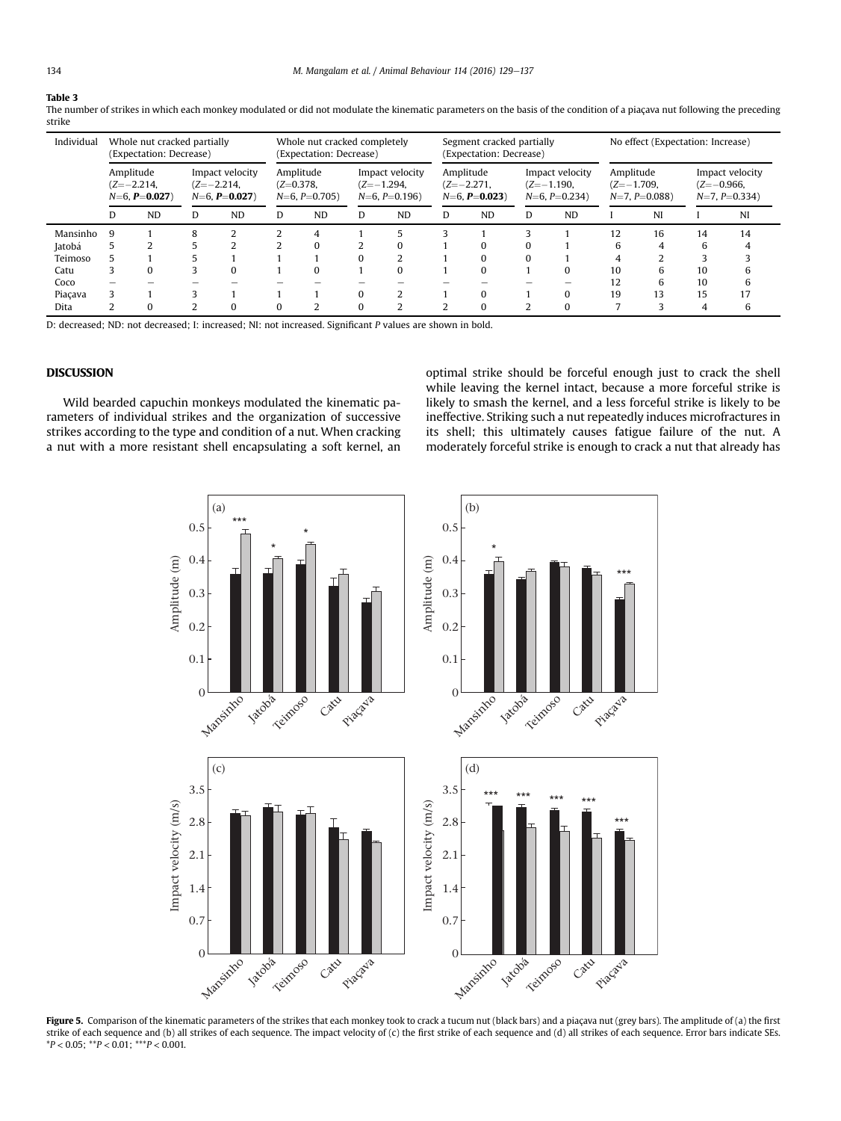#### <span id="page-5-0"></span>Table 3

The number of strikes in which each monkey modulated or did not modulate the kinematic parameters on the basis of the condition of a piaçava nut following the preceding strike

| Individual | Whole nut cracked partially<br>(Expectation: Decrease) |           |                                                        |           | Whole nut cracked completely<br>(Expectation: Decrease) |           |          |                                                   | Segment cracked partially<br>(Expectation: Decrease) |                                                  |   |                                                   | No effect (Expectation: Increase) |                                              |    |                                                   |  |
|------------|--------------------------------------------------------|-----------|--------------------------------------------------------|-----------|---------------------------------------------------------|-----------|----------|---------------------------------------------------|------------------------------------------------------|--------------------------------------------------|---|---------------------------------------------------|-----------------------------------|----------------------------------------------|----|---------------------------------------------------|--|
|            | Amplitude<br>$(Z=-2.214)$<br>$N=6, P=0.027$            |           | Impact velocity<br>$(Z=-2.214)$<br>$N=6$ , $P=0.027$ ) |           | Amplitude<br>$(Z=0.378)$ .<br>$N=6, P=0.705$            |           |          | Impact velocity<br>$(Z=-1.294)$<br>$N=6, P=0.196$ |                                                      | Amplitude<br>$(Z=-2.271.$<br>$N=6$ , $P=0.023$ ) |   | Impact velocity<br>$(Z=-1.190.$<br>$N=6, P=0.234$ |                                   | Amplitude<br>$(Z=-1.709$ .<br>$N=7, P=0.088$ |    | Impact velocity<br>$(Z=-0.966)$<br>$N=7, P=0.334$ |  |
|            | D                                                      | <b>ND</b> | D                                                      | <b>ND</b> | D                                                       | <b>ND</b> | D        | <b>ND</b>                                         | D                                                    | <b>ND</b>                                        | D | <b>ND</b>                                         |                                   | NI                                           |    | NI                                                |  |
| Mansinho   |                                                        |           | 8                                                      |           |                                                         |           |          |                                                   | 3                                                    |                                                  |   |                                                   | 12                                | 16                                           | 14 | 14                                                |  |
| Jatobá     | 5                                                      |           |                                                        |           |                                                         | $\Omega$  |          |                                                   |                                                      | $\Omega$                                         |   |                                                   | 6                                 | 4                                            | h  |                                                   |  |
| Teimoso    |                                                        |           |                                                        |           |                                                         |           |          |                                                   |                                                      | $\Omega$                                         |   |                                                   |                                   | ຳ                                            |    |                                                   |  |
| Catu       |                                                        | $\Omega$  |                                                        | $\Omega$  |                                                         | $\Omega$  |          |                                                   |                                                      | $\Omega$                                         |   | O                                                 | 10                                | 6                                            | 10 |                                                   |  |
| Coco       |                                                        |           |                                                        |           |                                                         |           |          |                                                   |                                                      |                                                  |   |                                                   | 12                                | 6                                            | 10 |                                                   |  |
| Piacava    |                                                        |           |                                                        |           |                                                         |           | $\Omega$ |                                                   |                                                      | $\Omega$                                         |   |                                                   | 19                                | 13                                           | 15 | 17                                                |  |
| Dita       |                                                        | $\Omega$  |                                                        |           |                                                         |           |          |                                                   |                                                      | $\Omega$                                         |   |                                                   |                                   | 3                                            |    |                                                   |  |

D: decreased; ND: not decreased; I: increased; NI: not increased. Significant P values are shown in bold.

# DISCUSSION

Wild bearded capuchin monkeys modulated the kinematic parameters of individual strikes and the organization of successive strikes according to the type and condition of a nut. When cracking a nut with a more resistant shell encapsulating a soft kernel, an

optimal strike should be forceful enough just to crack the shell while leaving the kernel intact, because a more forceful strike is likely to smash the kernel, and a less forceful strike is likely to be ineffective. Striking such a nut repeatedly induces microfractures in its shell; this ultimately causes fatigue failure of the nut. A moderately forceful strike is enough to crack a nut that already has



Figure 5. Comparison of the kinematic parameters of the strikes that each monkey took to crack a tucum nut (black bars) and a piacava nut (grey bars). The amplitude of (a) the first strike of each sequence and (b) all strikes of each sequence. The impact velocity of (c) the first strike of each sequence and (d) all strikes of each sequence. Error bars indicate SEs.  $*P < 0.05$ ;  $*P < 0.01$ ;  $**P < 0.001$ .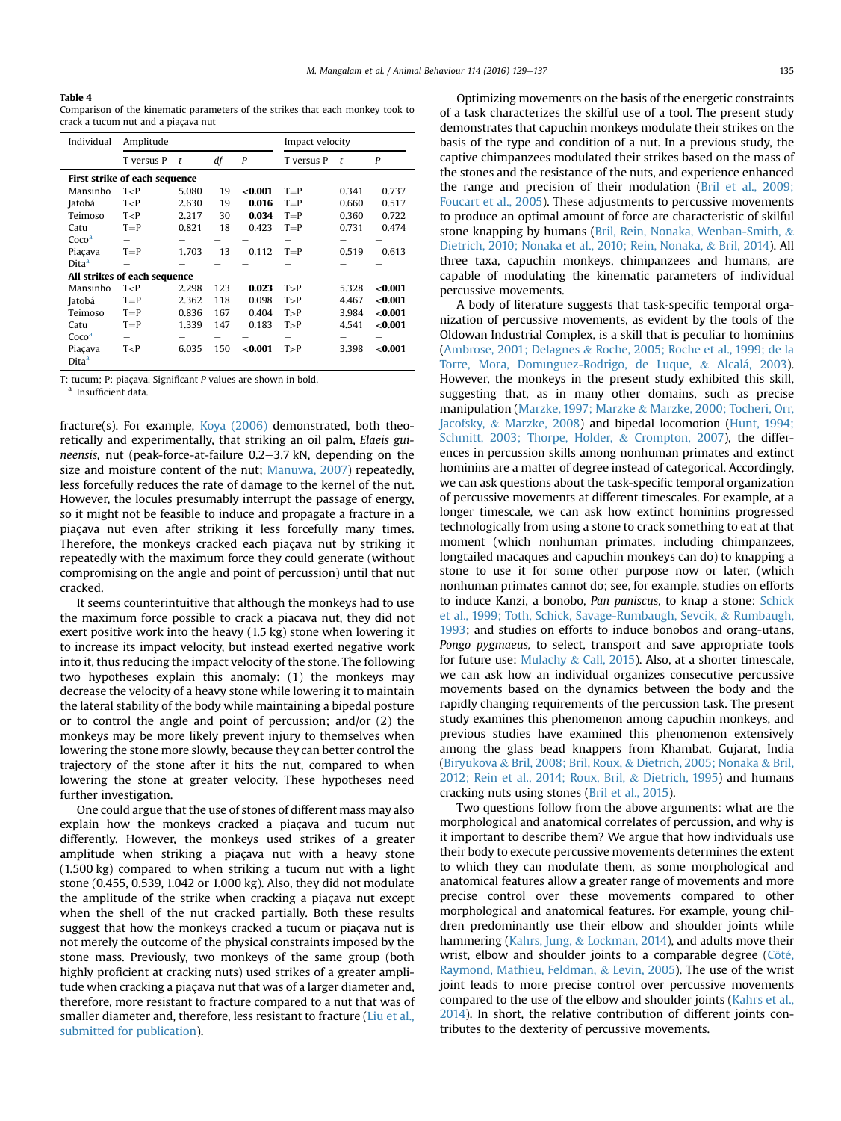# <span id="page-6-0"></span>Table 4

Comparison of the kinematic parameters of the strikes that each monkey took to crack a tucum nut and a piaçava nut

| Individual                    | Amplitude                     |            |     | Impact velocity |            |       |                  |  |
|-------------------------------|-------------------------------|------------|-----|-----------------|------------|-------|------------------|--|
|                               | T versus P                    | $\ddot{t}$ | df  | P               | T versus P | t     | $\boldsymbol{P}$ |  |
|                               | First strike of each sequence |            |     |                 |            |       |                  |  |
| Mansinho                      | T < P                         | 5.080      | 19  | ${<}0.001$      | $T = P$    | 0.341 | 0.737            |  |
| Jatobá                        | T < P                         | 2.630      | 19  | 0.016           | $T = P$    | 0.660 | 0.517            |  |
| Teimoso                       | T < P                         | 2.217      | 30  | 0.034           | $T = P$    | 0.360 | 0.722            |  |
| Catu                          | $T = P$                       | 0.821      | 18  | 0.423           | $T = P$    | 0.731 | 0.474            |  |
| Coc <sub>0</sub> <sup>a</sup> |                               |            |     |                 |            |       |                  |  |
| Piacava                       | $T = P$                       | 1.703      | 13  | 0.112           | $T = P$    | 0.519 | 0.613            |  |
| Dita <sup>a</sup>             |                               |            |     |                 |            |       |                  |  |
|                               | All strikes of each sequence  |            |     |                 |            |       |                  |  |
| Mansinho                      | T < P                         | 2.298      | 123 | 0.023           | T > P      | 5.328 | < 0.001          |  |
| Jatobá                        | $T = P$                       | 2.362      | 118 | 0.098           | T > P      | 4.467 | < 0.001          |  |
| Teimoso                       | $T = P$                       | 0.836      | 167 | 0.404           | T > P      | 3.984 | < 0.001          |  |
| Catu                          | $T = P$                       | 1.339      | 147 | 0.183           | T > P      | 4.541 | < 0.001          |  |
| Coco <sup>a</sup>             |                               |            |     |                 |            |       |                  |  |
| Piacava                       | T < P                         | 6.035      | 150 | ${<}0.001$      | T > P      | 3.398 | $<$ 0.001        |  |
| Dita <sup>a</sup>             |                               |            |     |                 |            |       |                  |  |

T: tucum; P: piaçava. Significant P values are shown in bold.

<sup>a</sup> Insufficient data.

fracture(s). For example, [Koya \(2006\)](#page-7-0) demonstrated, both theoretically and experimentally, that striking an oil palm, Elaeis guineensis, nut (peak-force-at-failure  $0.2-3.7$  kN, depending on the size and moisture content of the nut; [Manuwa, 2007](#page-7-0)) repeatedly, less forcefully reduces the rate of damage to the kernel of the nut. However, the locules presumably interrupt the passage of energy, so it might not be feasible to induce and propagate a fracture in a piaçava nut even after striking it less forcefully many times. Therefore, the monkeys cracked each piaçava nut by striking it repeatedly with the maximum force they could generate (without compromising on the angle and point of percussion) until that nut cracked.

It seems counterintuitive that although the monkeys had to use the maximum force possible to crack a piacava nut, they did not exert positive work into the heavy (1.5 kg) stone when lowering it to increase its impact velocity, but instead exerted negative work into it, thus reducing the impact velocity of the stone. The following two hypotheses explain this anomaly: (1) the monkeys may decrease the velocity of a heavy stone while lowering it to maintain the lateral stability of the body while maintaining a bipedal posture or to control the angle and point of percussion; and/or (2) the monkeys may be more likely prevent injury to themselves when lowering the stone more slowly, because they can better control the trajectory of the stone after it hits the nut, compared to when lowering the stone at greater velocity. These hypotheses need further investigation.

One could argue that the use of stones of different mass may also explain how the monkeys cracked a piaçava and tucum nut differently. However, the monkeys used strikes of a greater amplitude when striking a piaçava nut with a heavy stone (1.500 kg) compared to when striking a tucum nut with a light stone (0.455, 0.539, 1.042 or 1.000 kg). Also, they did not modulate the amplitude of the strike when cracking a piaçava nut except when the shell of the nut cracked partially. Both these results suggest that how the monkeys cracked a tucum or piaçava nut is not merely the outcome of the physical constraints imposed by the stone mass. Previously, two monkeys of the same group (both highly proficient at cracking nuts) used strikes of a greater amplitude when cracking a piaçava nut that was of a larger diameter and, therefore, more resistant to fracture compared to a nut that was of smaller diameter and, therefore, less resistant to fracture [\(Liu et al.,](#page-7-0) [submitted for publication](#page-7-0)).

Optimizing movements on the basis of the energetic constraints of a task characterizes the skilful use of a tool. The present study demonstrates that capuchin monkeys modulate their strikes on the basis of the type and condition of a nut. In a previous study, the captive chimpanzees modulated their strikes based on the mass of the stones and the resistance of the nuts, and experience enhanced the range and precision of their modulation ([Bril et al., 2009;](#page-7-0) [Foucart et al., 2005](#page-7-0)). These adjustments to percussive movements to produce an optimal amount of force are characteristic of skilful stone knapping by humans ([Bril, Rein, Nonaka, Wenban-Smith,](#page-7-0) & [Dietrich, 2010; Nonaka et al., 2010; Rein, Nonaka,](#page-7-0) & [Bril, 2014\)](#page-7-0). All three taxa, capuchin monkeys, chimpanzees and humans, are capable of modulating the kinematic parameters of individual percussive movements.

A body of literature suggests that task-specific temporal organization of percussive movements, as evident by the tools of the Oldowan Industrial Complex, is a skill that is peculiar to hominins ([Ambrose, 2001; Delagnes](#page-7-0) & [Roche, 2005; Roche et al., 1999; de la](#page-7-0) [Torre, Mora, Dom](#page-7-0)i[nguez-Rodrigo, de Luque,](#page-7-0) & [Alcal](#page-7-0)á[, 2003](#page-7-0)). However, the monkeys in the present study exhibited this skill, suggesting that, as in many other domains, such as precise manipulation [\(Marzke, 1997; Marzke](#page-7-0) & [Marzke, 2000; Tocheri, Orr,](#page-7-0) [Jacofsky,](#page-7-0) & [Marzke, 2008\)](#page-7-0) and bipedal locomotion [\(Hunt, 1994;](#page-7-0) [Schmitt, 2003; Thorpe, Holder,](#page-7-0) & [Crompton, 2007](#page-7-0)), the differences in percussion skills among nonhuman primates and extinct hominins are a matter of degree instead of categorical. Accordingly, we can ask questions about the task-specific temporal organization of percussive movements at different timescales. For example, at a longer timescale, we can ask how extinct hominins progressed technologically from using a stone to crack something to eat at that moment (which nonhuman primates, including chimpanzees, longtailed macaques and capuchin monkeys can do) to knapping a stone to use it for some other purpose now or later, (which nonhuman primates cannot do; see, for example, studies on efforts to induce Kanzi, a bonobo, Pan paniscus, to knap a stone: [Schick](#page-8-0) [et al., 1999; Toth, Schick, Savage-Rumbaugh, Sevcik,](#page-8-0) & [Rumbaugh,](#page-8-0) [1993;](#page-8-0) and studies on efforts to induce bonobos and orang-utans, Pongo pygmaeus, to select, transport and save appropriate tools for future use: [Mulachy](#page-7-0) & [Call, 2015\)](#page-7-0). Also, at a shorter timescale, we can ask how an individual organizes consecutive percussive movements based on the dynamics between the body and the rapidly changing requirements of the percussion task. The present study examines this phenomenon among capuchin monkeys, and previous studies have examined this phenomenon extensively among the glass bead knappers from Khambat, Gujarat, India ([Biryukova](#page-7-0) & [Bril, 2008; Bril, Roux,](#page-7-0) & [Dietrich, 2005; Nonaka](#page-7-0) & [Bril,](#page-7-0) [2012; Rein et al., 2014; Roux, Bril,](#page-7-0) & [Dietrich, 1995\)](#page-7-0) and humans cracking nuts using stones [\(Bril et al., 2015\)](#page-7-0).

Two questions follow from the above arguments: what are the morphological and anatomical correlates of percussion, and why is it important to describe them? We argue that how individuals use their body to execute percussive movements determines the extent to which they can modulate them, as some morphological and anatomical features allow a greater range of movements and more precise control over these movements compared to other morphological and anatomical features. For example, young children predominantly use their elbow and shoulder joints while hammering ([Kahrs, Jung,](#page-7-0) & [Lockman, 2014](#page-7-0)), and adults move their wrist[,](#page-7-0) elbow and shoulder joints to a comparable degree (Côté, [Raymond, Mathieu, Feldman,](#page-7-0) & [Levin, 2005](#page-7-0)). The use of the wrist joint leads to more precise control over percussive movements compared to the use of the elbow and shoulder joints ([Kahrs et al.,](#page-7-0) [2014\)](#page-7-0). In short, the relative contribution of different joints contributes to the dexterity of percussive movements.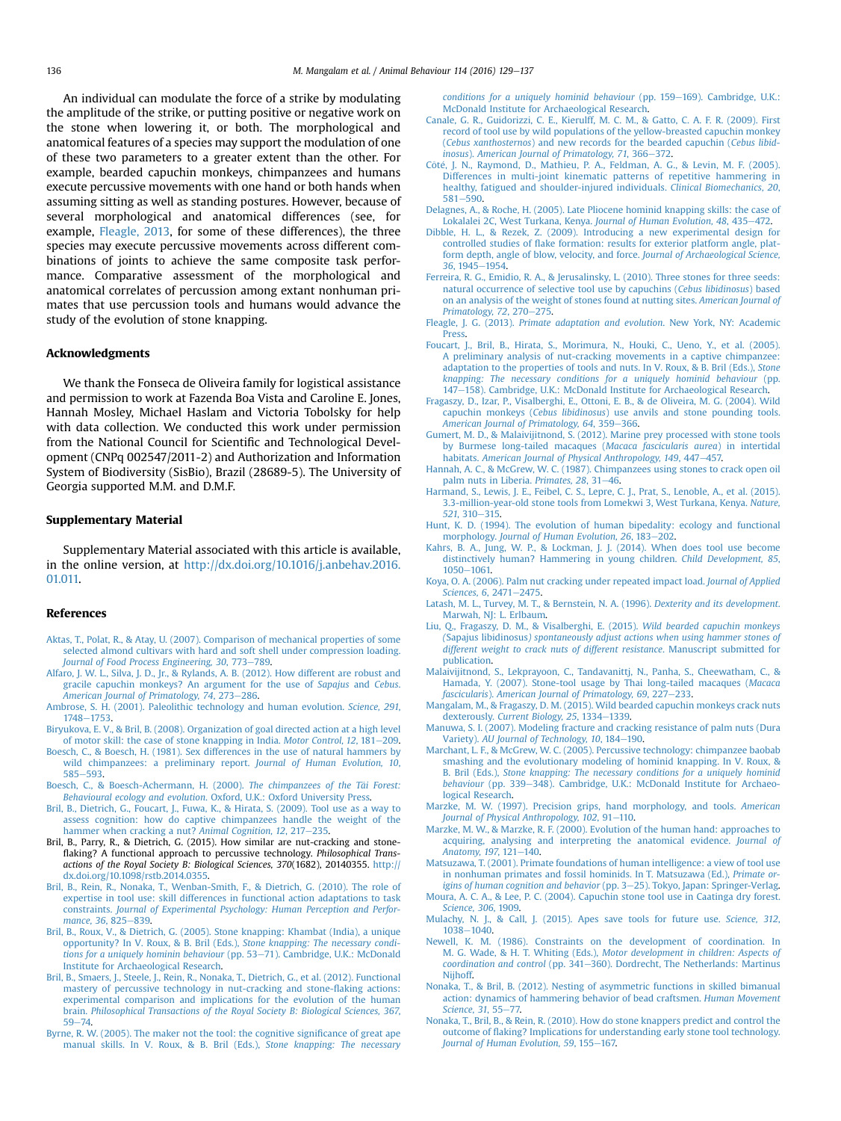<span id="page-7-0"></span>An individual can modulate the force of a strike by modulating the amplitude of the strike, or putting positive or negative work on the stone when lowering it, or both. The morphological and anatomical features of a species may support the modulation of one of these two parameters to a greater extent than the other. For example, bearded capuchin monkeys, chimpanzees and humans execute percussive movements with one hand or both hands when assuming sitting as well as standing postures. However, because of several morphological and anatomical differences (see, for example, Fleagle, 2013, for some of these differences), the three species may execute percussive movements across different combinations of joints to achieve the same composite task performance. Comparative assessment of the morphological and anatomical correlates of percussion among extant nonhuman primates that use percussion tools and humans would advance the study of the evolution of stone knapping.

#### Acknowledgments

We thank the Fonseca de Oliveira family for logistical assistance and permission to work at Fazenda Boa Vista and Caroline E. Jones, Hannah Mosley, Michael Haslam and Victoria Tobolsky for help with data collection. We conducted this work under permission from the National Council for Scientific and Technological Development (CNPq 002547/2011-2) and Authorization and Information System of Biodiversity (SisBio), Brazil (28689-5). The University of Georgia supported M.M. and D.M.F.

# Supplementary Material

Supplementary Material associated with this article is available, in the online version, at [http://dx.doi.org/10.1016/j.anbehav.2016.](http://dx.doi.org/10.1016/j.anbehav.2016.01.011) [01.011.](http://dx.doi.org/10.1016/j.anbehav.2016.01.011)

# References

- [Aktas, T., Polat, R., & Atay, U. \(2007\). Comparison of mechanical properties of some](http://refhub.elsevier.com/S0003-3472(16)00014-2/sref1) [selected almond cultivars with hard and soft shell under compression loading.](http://refhub.elsevier.com/S0003-3472(16)00014-2/sref1) [Journal of Food Process Engineering, 30](http://refhub.elsevier.com/S0003-3472(16)00014-2/sref1), 773-[789](http://refhub.elsevier.com/S0003-3472(16)00014-2/sref1).
- [Alfaro, J. W. L., Silva, J. D., Jr., & Rylands, A. B. \(2012\). How different are robust and](http://refhub.elsevier.com/S0003-3472(16)00014-2/sref2) [gracile capuchin monkeys? An argument for the use of](http://refhub.elsevier.com/S0003-3472(16)00014-2/sref2) Sapajus and Cebus. [American Journal of Primatology, 74](http://refhub.elsevier.com/S0003-3472(16)00014-2/sref2), 273-[286](http://refhub.elsevier.com/S0003-3472(16)00014-2/sref2).
- [Ambrose, S. H. \(2001\). Paleolithic technology and human evolution.](http://refhub.elsevier.com/S0003-3472(16)00014-2/sref3) Science, 291, [1748](http://refhub.elsevier.com/S0003-3472(16)00014-2/sref3)-[1753](http://refhub.elsevier.com/S0003-3472(16)00014-2/sref3).
- [Biryukova, E. V., & Bril, B. \(2008\). Organization of goal directed action at a high level](http://refhub.elsevier.com/S0003-3472(16)00014-2/sref4) [of motor skill: the case of stone knapping in India.](http://refhub.elsevier.com/S0003-3472(16)00014-2/sref4) Motor Control, 12, 181-[209](http://refhub.elsevier.com/S0003-3472(16)00014-2/sref4).
- [Boesch, C., & Boesch, H. \(1981\). Sex differences in the use of natural hammers by](http://refhub.elsevier.com/S0003-3472(16)00014-2/sref5) [wild chimpanzees: a preliminary report.](http://refhub.elsevier.com/S0003-3472(16)00014-2/sref5) Journal of Human Evolution, 10, [585](http://refhub.elsevier.com/S0003-3472(16)00014-2/sref5)-[593.](http://refhub.elsevier.com/S0003-3472(16)00014-2/sref5)
- [Boesch, C., & Boesch-Achermann, H. \(2000\).](http://refhub.elsevier.com/S0003-3472(16)00014-2/sref6) The chimpanzees of the Täi Forest:<br>Behavioural ecology and evolution[. Oxford, U.K.: Oxford University Press.](http://refhub.elsevier.com/S0003-3472(16)00014-2/sref6)
- [Bril, B., Dietrich, G., Foucart, J., Fuwa, K., & Hirata, S. \(2009\). Tool use as a way to](http://refhub.elsevier.com/S0003-3472(16)00014-2/sref7) [assess cognition: how do captive chimpanzees handle the weight of the](http://refhub.elsevier.com/S0003-3472(16)00014-2/sref7) [hammer when cracking a nut?](http://refhub.elsevier.com/S0003-3472(16)00014-2/sref7) Animal Cognition, 12, 217–[235.](http://refhub.elsevier.com/S0003-3472(16)00014-2/sref7)
- Bril, B., Parry, R., & Dietrich, G. (2015). How similar are nut-cracking and stoneflaking? A functional approach to percussive technology. Philosophical Transactions of the Royal Society B: Biological Sciences, 370(1682), 20140355. [http://](http://dx.doi.org/10.1098/rstb.2014.0355) [dx.doi.org/10.1098/rstb.2014.0355](http://dx.doi.org/10.1098/rstb.2014.0355).
- [Bril, B., Rein, R., Nonaka, T., Wenban-Smith, F., & Dietrich, G. \(2010\). The role of](http://refhub.elsevier.com/S0003-3472(16)00014-2/sref9) [expertise in tool use: skill differences in functional action adaptations to task](http://refhub.elsevier.com/S0003-3472(16)00014-2/sref9) constraints. [Journal of Experimental Psychology: Human Perception and Perfor](http://refhub.elsevier.com/S0003-3472(16)00014-2/sref9)[mance, 36](http://refhub.elsevier.com/S0003-3472(16)00014-2/sref9), 825-[839](http://refhub.elsevier.com/S0003-3472(16)00014-2/sref9).
- [Bril, B., Roux, V., & Dietrich, G. \(2005\). Stone knapping: Khambat \(India\), a unique](http://refhub.elsevier.com/S0003-3472(16)00014-2/sref10) [opportunity? In V. Roux, & B. Bril \(Eds.\),](http://refhub.elsevier.com/S0003-3472(16)00014-2/sref10) Stone knapping: The necessary condi[tions for a uniquely hominin behaviour](http://refhub.elsevier.com/S0003-3472(16)00014-2/sref10) (pp. 53-[71\). Cambridge, U.K.: McDonald](http://refhub.elsevier.com/S0003-3472(16)00014-2/sref10) [Institute for Archaeological Research](http://refhub.elsevier.com/S0003-3472(16)00014-2/sref10).
- [Bril, B., Smaers, J., Steele, J., Rein, R., Nonaka, T., Dietrich, G., et al. \(2012\). Functional](http://refhub.elsevier.com/S0003-3472(16)00014-2/sref11) [mastery of percussive technology in nut-cracking and stone-](http://refhub.elsevier.com/S0003-3472(16)00014-2/sref11)flaking actions: [experimental comparison and implications for the evolution of the human](http://refhub.elsevier.com/S0003-3472(16)00014-2/sref11) brain. [Philosophical Transactions of the Royal Society B: Biological Sciences, 367](http://refhub.elsevier.com/S0003-3472(16)00014-2/sref11),  $59 - 74$  $59 - 74$  $59 - 74$
- [Byrne, R. W. \(2005\). The maker not the tool: the cognitive signi](http://refhub.elsevier.com/S0003-3472(16)00014-2/sref12)ficance of great ape [manual skills. In V. Roux, & B. Bril \(Eds.\),](http://refhub.elsevier.com/S0003-3472(16)00014-2/sref12) Stone knapping: The necessary

[conditions for a uniquely hominid behaviour](http://refhub.elsevier.com/S0003-3472(16)00014-2/sref12) (pp. 159-[169\). Cambridge, U.K.:](http://refhub.elsevier.com/S0003-3472(16)00014-2/sref12) [McDonald Institute for Archaeological Research.](http://refhub.elsevier.com/S0003-3472(16)00014-2/sref12)

- [Canale, G. R., Guidorizzi, C. E., Kierulff, M. C. M., & Gatto, C. A. F. R. \(2009\). First](http://refhub.elsevier.com/S0003-3472(16)00014-2/sref13) [record of tool use by wild populations of the yellow-breasted capuchin monkey](http://refhub.elsevier.com/S0003-3472(16)00014-2/sref13) (Cebus xanthosternos[\) and new records for the bearded capuchin \(](http://refhub.elsevier.com/S0003-3472(16)00014-2/sref13)Cebus libid-inosus). [American Journal of Primatology, 71](http://refhub.elsevier.com/S0003-3472(16)00014-2/sref13), 366-[372](http://refhub.elsevier.com/S0003-3472(16)00014-2/sref13).
- Côté, J. N., Raymond, D., Mathieu, P. A., Feldman, A. G., & Levin, M. F. (2005). [Differences in multi-joint kinematic patterns of repetitive hammering in](http://refhub.elsevier.com/S0003-3472(16)00014-2/sref14) [healthy, fatigued and shoulder-injured individuals.](http://refhub.elsevier.com/S0003-3472(16)00014-2/sref14) Clinical Biomechanics, 20,  $581 - 590.$  $581 - 590.$  $581 - 590.$
- [Delagnes, A., & Roche, H. \(2005\). Late Pliocene hominid knapping skills: the case of](http://refhub.elsevier.com/S0003-3472(16)00014-2/sref15) [Lokalalei 2C, West Turkana, Kenya.](http://refhub.elsevier.com/S0003-3472(16)00014-2/sref15) Journal of Human Evolution, 48, 435-[472.](http://refhub.elsevier.com/S0003-3472(16)00014-2/sref15)
- [Dibble, H. L., & Rezek, Z. \(2009\). Introducing a new experimental design for](http://refhub.elsevier.com/S0003-3472(16)00014-2/sref16) controlled studies of fl[ake formation: results for exterior platform angle, plat](http://refhub.elsevier.com/S0003-3472(16)00014-2/sref16)[form depth, angle of blow, velocity, and force.](http://refhub.elsevier.com/S0003-3472(16)00014-2/sref16) Journal of Archaeological Science, 36[, 1945](http://refhub.elsevier.com/S0003-3472(16)00014-2/sref16)-[1954](http://refhub.elsevier.com/S0003-3472(16)00014-2/sref16).
- [Ferreira, R. G., Emidio, R. A., & Jerusalinsky, L. \(2010\). Three stones for three seeds:](http://refhub.elsevier.com/S0003-3472(16)00014-2/sref17) [natural occurrence of selective tool use by capuchins \(](http://refhub.elsevier.com/S0003-3472(16)00014-2/sref17)Cebus libidinosus) based [on an analysis of the weight of stones found at nutting sites.](http://refhub.elsevier.com/S0003-3472(16)00014-2/sref17) American Journal of [Primatology, 72](http://refhub.elsevier.com/S0003-3472(16)00014-2/sref17), 270-[275.](http://refhub.elsevier.com/S0003-3472(16)00014-2/sref17)
- Fleagle, J. G. (2013). [Primate adaptation and evolution](http://refhub.elsevier.com/S0003-3472(16)00014-2/sref18). New York, NY: Academic [Press](http://refhub.elsevier.com/S0003-3472(16)00014-2/sref18).
- [Foucart, J., Bril, B., Hirata, S., Morimura, N., Houki, C., Ueno, Y., et al. \(2005\).](http://refhub.elsevier.com/S0003-3472(16)00014-2/sref19) [A preliminary analysis of nut-cracking movements in a captive chimpanzee:](http://refhub.elsevier.com/S0003-3472(16)00014-2/sref19) [adaptation to the properties of tools and nuts. In V. Roux, & B. Bril \(Eds.\),](http://refhub.elsevier.com/S0003-3472(16)00014-2/sref19) Stone [knapping: The necessary conditions for a uniquely hominid behaviour](http://refhub.elsevier.com/S0003-3472(16)00014-2/sref19) (pp. [147](http://refhub.elsevier.com/S0003-3472(16)00014-2/sref19)-[158\). Cambridge, U.K.: McDonald Institute for Archaeological Research.](http://refhub.elsevier.com/S0003-3472(16)00014-2/sref19)
- [Fragaszy, D., Izar, P., Visalberghi, E., Ottoni, E. B., & de Oliveira, M. G. \(2004\). Wild](http://refhub.elsevier.com/S0003-3472(16)00014-2/sref20) capuchin monkeys (Cebus libidinosus[\) use anvils and stone pounding tools.](http://refhub.elsevier.com/S0003-3472(16)00014-2/sref20) [American Journal of Primatology, 64](http://refhub.elsevier.com/S0003-3472(16)00014-2/sref20), 359-[366.](http://refhub.elsevier.com/S0003-3472(16)00014-2/sref20)
- [Gumert, M. D., & Malaivijitnond, S. \(2012\). Marine prey processed with stone tools](http://refhub.elsevier.com/S0003-3472(16)00014-2/sref21) [by Burmese long-tailed macaques \(](http://refhub.elsevier.com/S0003-3472(16)00014-2/sref21)Macaca fascicularis aurea) in intertidal habitats. [American Journal of Physical Anthropology, 149](http://refhub.elsevier.com/S0003-3472(16)00014-2/sref21), 447-[457.](http://refhub.elsevier.com/S0003-3472(16)00014-2/sref21)
- [Hannah, A. C., & McGrew, W. C. \(1987\). Chimpanzees using stones to crack open oil](http://refhub.elsevier.com/S0003-3472(16)00014-2/sref22) [palm nuts in Liberia.](http://refhub.elsevier.com/S0003-3472(16)00014-2/sref22) Primates, 28, 31-[46.](http://refhub.elsevier.com/S0003-3472(16)00014-2/sref22)
- [Harmand, S., Lewis, J. E., Feibel, C. S., Lepre, C. J., Prat, S., Lenoble, A., et al. \(2015\).](http://refhub.elsevier.com/S0003-3472(16)00014-2/sref23) [3.3-million-year-old stone tools from Lomekwi 3, West Turkana, Kenya.](http://refhub.elsevier.com/S0003-3472(16)00014-2/sref23) Nature,  $521, 310 - 315$  $521, 310 - 315$  $521, 310 - 315$
- [Hunt, K. D. \(1994\). The evolution of human bipedality: ecology and functional](http://refhub.elsevier.com/S0003-3472(16)00014-2/sref24) morphology. [Journal of Human Evolution, 26](http://refhub.elsevier.com/S0003-3472(16)00014-2/sref24), 183-[202.](http://refhub.elsevier.com/S0003-3472(16)00014-2/sref24)
- [Kahrs, B. A., Jung, W. P., & Lockman, J. J. \(2014\). When does tool use become](http://refhub.elsevier.com/S0003-3472(16)00014-2/sref25) [distinctively human? Hammering in young children.](http://refhub.elsevier.com/S0003-3472(16)00014-2/sref25) Child Development, 85,  $1050 - 1061.$  $1050 - 1061.$  $1050 - 1061.$
- [Koya, O. A. \(2006\). Palm nut cracking under repeated impact load.](http://refhub.elsevier.com/S0003-3472(16)00014-2/sref26) Journal of Applied [Sciences, 6](http://refhub.elsevier.com/S0003-3472(16)00014-2/sref26), 2471-[2475.](http://refhub.elsevier.com/S0003-3472(16)00014-2/sref26)
- [Latash, M. L., Turvey, M. T., & Bernstein, N. A. \(1996\).](http://refhub.elsevier.com/S0003-3472(16)00014-2/sref27) Dexterity and its development. [Marwah, NJ: L. Erlbaum](http://refhub.elsevier.com/S0003-3472(16)00014-2/sref27).
- [Liu, Q., Fragaszy, D. M., & Visalberghi, E. \(2015\).](http://refhub.elsevier.com/S0003-3472(16)00014-2/sref28) Wild bearded capuchin monkeys (Sapajus libidinosus[\) spontaneously adjust actions when using hammer stones of](http://refhub.elsevier.com/S0003-3472(16)00014-2/sref28) [different weight to crack nuts of different resistance](http://refhub.elsevier.com/S0003-3472(16)00014-2/sref28). Manuscript submitted for [publication.](http://refhub.elsevier.com/S0003-3472(16)00014-2/sref28)
- [Malaivijitnond, S., Lekprayoon, C., Tandavanittj, N., Panha, S., Cheewatham, C., &](http://refhub.elsevier.com/S0003-3472(16)00014-2/sref29) [Hamada, Y. \(2007\). Stone-tool usage by Thai long-tailed macaques \(](http://refhub.elsevier.com/S0003-3472(16)00014-2/sref29)Macaca fascicularis). [American Journal of Primatology, 69](http://refhub.elsevier.com/S0003-3472(16)00014-2/sref29), 227-[233.](http://refhub.elsevier.com/S0003-3472(16)00014-2/sref29)
- [Mangalam, M., & Fragaszy, D. M. \(2015\). Wild bearded capuchin monkeys crack nuts](http://refhub.elsevier.com/S0003-3472(16)00014-2/sref30) dexterously. [Current Biology, 25](http://refhub.elsevier.com/S0003-3472(16)00014-2/sref30), 1334-[1339](http://refhub.elsevier.com/S0003-3472(16)00014-2/sref30).
- [Manuwa, S. I. \(2007\). Modeling fracture and cracking resistance of palm nuts \(Dura](http://refhub.elsevier.com/S0003-3472(16)00014-2/sref31) Variety). [AU Journal of Technology, 10](http://refhub.elsevier.com/S0003-3472(16)00014-2/sref31), 184-[190](http://refhub.elsevier.com/S0003-3472(16)00014-2/sref31).
- [Marchant, L. F., & McGrew, W. C. \(2005\). Percussive technology: chimpanzee baobab](http://refhub.elsevier.com/S0003-3472(16)00014-2/sref32) [smashing and the evolutionary modeling of hominid knapping. In V. Roux, &](http://refhub.elsevier.com/S0003-3472(16)00014-2/sref32) B. Bril (Eds.), [Stone knapping: The necessary conditions for a uniquely hominid](http://refhub.elsevier.com/S0003-3472(16)00014-2/sref32) [behaviour](http://refhub.elsevier.com/S0003-3472(16)00014-2/sref32) (pp. 339-[348\). Cambridge, U.K.: McDonald Institute for Archaeo](http://refhub.elsevier.com/S0003-3472(16)00014-2/sref32)[logical Research](http://refhub.elsevier.com/S0003-3472(16)00014-2/sref32).
- [Marzke, M. W. \(1997\). Precision grips, hand morphology, and tools.](http://refhub.elsevier.com/S0003-3472(16)00014-2/sref33) American [Journal of Physical Anthropology, 102](http://refhub.elsevier.com/S0003-3472(16)00014-2/sref33), 91-[110.](http://refhub.elsevier.com/S0003-3472(16)00014-2/sref33)
- [Marzke, M. W., & Marzke, R. F. \(2000\). Evolution of the human hand: approaches to](http://refhub.elsevier.com/S0003-3472(16)00014-2/sref34) [acquiring, analysing and interpreting the anatomical evidence.](http://refhub.elsevier.com/S0003-3472(16)00014-2/sref34) Journal of [Anatomy, 197](http://refhub.elsevier.com/S0003-3472(16)00014-2/sref34), 121-[140.](http://refhub.elsevier.com/S0003-3472(16)00014-2/sref34)
- [Matsuzawa, T. \(2001\). Primate foundations of human intelligence: a view of tool use](http://refhub.elsevier.com/S0003-3472(16)00014-2/sref35) [in nonhuman primates and fossil hominids. In T. Matsuzawa \(Ed.\),](http://refhub.elsevier.com/S0003-3472(16)00014-2/sref35) Primate or[igins of human cognition and behavior](http://refhub.elsevier.com/S0003-3472(16)00014-2/sref35) (pp.  $3-25$ ). Tokyo, Japan: Springer-Verlag.
- [Moura, A. C. A., & Lee, P. C. \(2004\). Capuchin stone tool use in Caatinga dry forest.](http://refhub.elsevier.com/S0003-3472(16)00014-2/sref36) [Science, 306](http://refhub.elsevier.com/S0003-3472(16)00014-2/sref36), 1909.
- [Mulachy, N. J., & Call, J. \(2015\). Apes save tools for future use.](http://refhub.elsevier.com/S0003-3472(16)00014-2/sref37) Science, 312,  $1038 - 1040$  $1038 - 1040$  $1038 - 1040$ .
- [Newell, K. M. \(1986\). Constraints on the development of coordination. In](http://refhub.elsevier.com/S0003-3472(16)00014-2/sref38) M. G. Wade, & H. T. Whiting (Eds.), [Motor development in children: Aspects of](http://refhub.elsevier.com/S0003-3472(16)00014-2/sref38) [coordination and control](http://refhub.elsevier.com/S0003-3472(16)00014-2/sref38) (pp. 341-[360\). Dordrecht, The Netherlands: Martinus](http://refhub.elsevier.com/S0003-3472(16)00014-2/sref38) [Nijhoff](http://refhub.elsevier.com/S0003-3472(16)00014-2/sref38).
- [Nonaka, T., & Bril, B. \(2012\). Nesting of asymmetric functions in skilled bimanual](http://refhub.elsevier.com/S0003-3472(16)00014-2/sref39) [action: dynamics of hammering behavior of bead craftsmen.](http://refhub.elsevier.com/S0003-3472(16)00014-2/sref39) Human Movement [Science, 31](http://refhub.elsevier.com/S0003-3472(16)00014-2/sref39), 55-[77.](http://refhub.elsevier.com/S0003-3472(16)00014-2/sref39)
- [Nonaka, T., Bril, B., & Rein, R. \(2010\). How do stone knappers predict and control the](http://refhub.elsevier.com/S0003-3472(16)00014-2/sref40) outcome of fl[aking? Implications for understanding early stone tool technology.](http://refhub.elsevier.com/S0003-3472(16)00014-2/sref40) [Journal of Human Evolution, 59](http://refhub.elsevier.com/S0003-3472(16)00014-2/sref40), 155-[167.](http://refhub.elsevier.com/S0003-3472(16)00014-2/sref40)